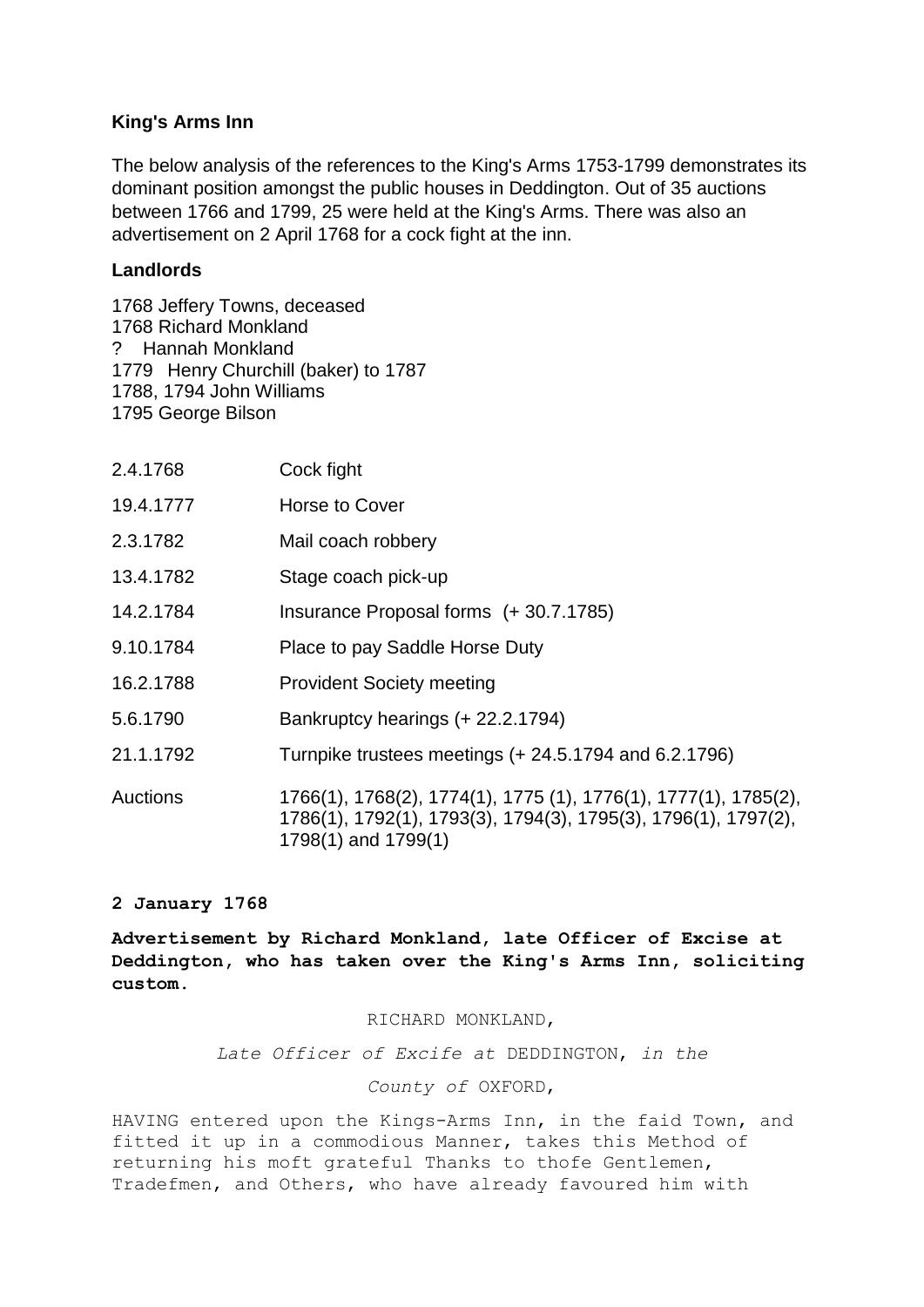# **King's Arms Inn**

The below analysis of the references to the King's Arms 1753-1799 demonstrates its dominant position amongst the public houses in Deddington. Out of 35 auctions between 1766 and 1799, 25 were held at the King's Arms. There was also an advertisement on 2 April 1768 for a cock fight at the inn.

## **Landlords**

1768 Jeffery Towns, deceased 1768 Richard Monkland ? Hannah Monkland 1779 Henry Churchill (baker) to 1787 1788, 1794 John Williams 1795 George Bilson

| 2.4.1768        | Cock fight                                                                                                                                               |
|-----------------|----------------------------------------------------------------------------------------------------------------------------------------------------------|
| 19.4.1777       | Horse to Cover                                                                                                                                           |
| 2.3.1782        | Mail coach robbery                                                                                                                                       |
| 13.4.1782       | Stage coach pick-up                                                                                                                                      |
| 14.2.1784       | Insurance Proposal forms (+30.7.1785)                                                                                                                    |
| 9.10.1784       | Place to pay Saddle Horse Duty                                                                                                                           |
| 16.2.1788       | <b>Provident Society meeting</b>                                                                                                                         |
| 5.6.1790        | Bankruptcy hearings (+ 22.2.1794)                                                                                                                        |
| 21.1.1792       | Turnpike trustees meetings (+ 24.5.1794 and 6.2.1796)                                                                                                    |
| <b>Auctions</b> | 1766(1), 1768(2), 1774(1), 1775 (1), 1776(1), 1777(1), 1785(2),<br>1786(1), 1792(1), 1793(3), 1794(3), 1795(3), 1796(1), 1797(2),<br>1798(1) and 1799(1) |

## **2 January 1768**

**Advertisement by Richard Monkland, late Officer of Excise at Deddington, who has taken over the King's Arms Inn, soliciting custom.**

### RICHARD MONKLAND,

*Late Officer of Excife at* DEDDINGTON, *in the* 

### *County of* OXFORD,

HAVING entered upon the Kings-Arms Inn, in the faid Town, and fitted it up in a commodious Manner, takes this Method of returning his moft grateful Thanks to thofe Gentlemen, Tradefmen, and Others, who have already favoured him with